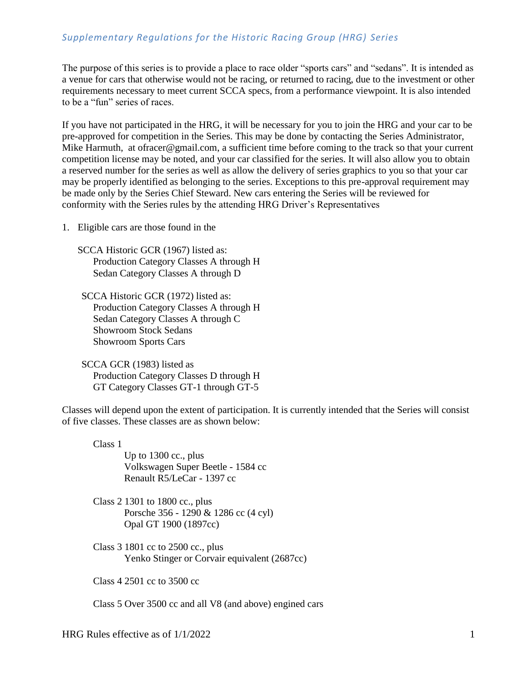## *Supplementary Regulations for the Historic Racing Group (HRG) Series*

The purpose of this series is to provide a place to race older "sports cars" and "sedans". It is intended as a venue for cars that otherwise would not be racing, or returned to racing, due to the investment or other requirements necessary to meet current SCCA specs, from a performance viewpoint. It is also intended to be a "fun" series of races.

If you have not participated in the HRG, it will be necessary for you to join the HRG and your car to be pre-approved for competition in the Series. This may be done by contacting the Series Administrator, Mike Harmuth, at ofracer@gmail.com, a sufficient time before coming to the track so that your current competition license may be noted, and your car classified for the series. It will also allow you to obtain a reserved number for the series as well as allow the delivery of series graphics to you so that your car may be properly identified as belonging to the series. Exceptions to this pre-approval requirement may be made only by the Series Chief Steward. New cars entering the Series will be reviewed for conformity with the Series rules by the attending HRG Driver's Representatives

1. Eligible cars are those found in the

SCCA Historic GCR (1967) listed as: Production Category Classes A through H Sedan Category Classes A through D

SCCA Historic GCR (1972) listed as: Production Category Classes A through H Sedan Category Classes A through C Showroom Stock Sedans Showroom Sports Cars

SCCA GCR (1983) listed as Production Category Classes D through H GT Category Classes GT-1 through GT-5

Classes will depend upon the extent of participation. It is currently intended that the Series will consist of five classes. These classes are as shown below:

Class 1

Up to 1300 cc., plus Volkswagen Super Beetle - 1584 cc Renault R5/LeCar - 1397 cc

Class 2 1301 to 1800 cc., plus Porsche 356 - 1290 & 1286 cc (4 cyl) Opal GT 1900 (1897cc)

Class 3 1801 cc to 2500 cc., plus Yenko Stinger or Corvair equivalent (2687cc)

Class 4 2501 cc to 3500 cc

Class 5 Over 3500 cc and all V8 (and above) engined cars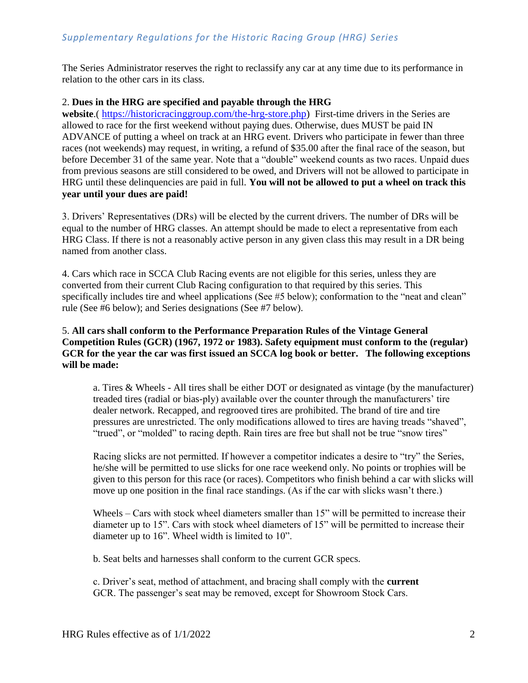The Series Administrator reserves the right to reclassify any car at any time due to its performance in relation to the other cars in its class.

### 2. **Dues in the HRG are specified and payable through the HRG**

website.( [https://historicracinggroup.com/the-hrg-store.php\)](https://historicracinggroup.com/the-hrg-store.php) First-time drivers in the Series are allowed to race for the first weekend without paying dues. Otherwise, dues MUST be paid IN ADVANCE of putting a wheel on track at an HRG event. Drivers who participate in fewer than three races (not weekends) may request, in writing, a refund of \$35.00 after the final race of the season, but before December 31 of the same year. Note that a "double" weekend counts as two races. Unpaid dues from previous seasons are still considered to be owed, and Drivers will not be allowed to participate in HRG until these delinquencies are paid in full. **You will not be allowed to put a wheel on track this year until your dues are paid!** 

3. Drivers' Representatives (DRs) will be elected by the current drivers. The number of DRs will be equal to the number of HRG classes. An attempt should be made to elect a representative from each HRG Class. If there is not a reasonably active person in any given class this may result in a DR being named from another class.

4. Cars which race in SCCA Club Racing events are not eligible for this series, unless they are converted from their current Club Racing configuration to that required by this series. This specifically includes tire and wheel applications (See #5 below); conformation to the "neat and clean" rule (See #6 below); and Series designations (See #7 below).

## 5. **All cars shall conform to the Performance Preparation Rules of the Vintage General Competition Rules (GCR) (1967, 1972 or 1983). Safety equipment must conform to the (regular) GCR for the year the car was first issued an SCCA log book or better. The following exceptions will be made:**

a. Tires & Wheels - All tires shall be either DOT or designated as vintage (by the manufacturer) treaded tires (radial or bias-ply) available over the counter through the manufacturers' tire dealer network. Recapped, and regrooved tires are prohibited. The brand of tire and tire pressures are unrestricted. The only modifications allowed to tires are having treads "shaved", "trued", or "molded" to racing depth. Rain tires are free but shall not be true "snow tires"

Racing slicks are not permitted. If however a competitor indicates a desire to "try" the Series, he/she will be permitted to use slicks for one race weekend only. No points or trophies will be given to this person for this race (or races). Competitors who finish behind a car with slicks will move up one position in the final race standings. (As if the car with slicks wasn't there.)

Wheels – Cars with stock wheel diameters smaller than 15" will be permitted to increase their diameter up to 15". Cars with stock wheel diameters of 15" will be permitted to increase their diameter up to 16". Wheel width is limited to 10".

b. Seat belts and harnesses shall conform to the current GCR specs.

c. Driver's seat, method of attachment, and bracing shall comply with the **current**  GCR. The passenger's seat may be removed, except for Showroom Stock Cars.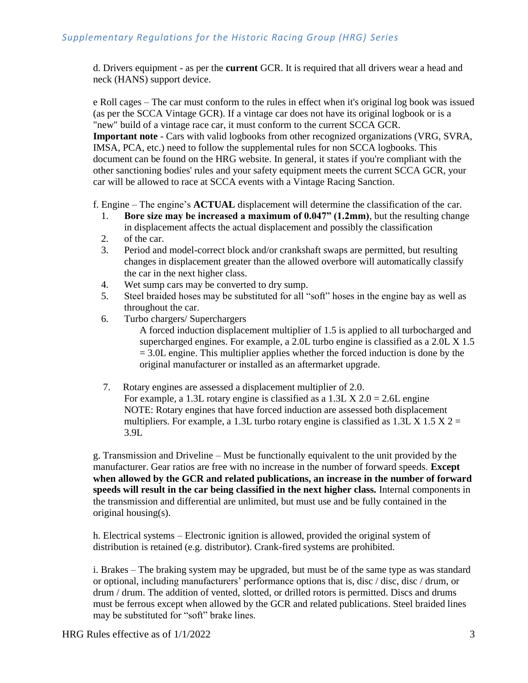d. Drivers equipment - as per the **current** GCR. It is required that all drivers wear a head and neck (HANS) support device.

e Roll cages – The car must conform to the rules in effect when it's original log book was issued (as per the SCCA Vintage GCR). If a vintage car does not have its original logbook or is a "new" build of a vintage race car, it must conform to the current SCCA GCR. **Important note** - Cars with valid logbooks from other recognized organizations (VRG, SVRA, IMSA, PCA, etc.) need to follow the supplemental rules for non SCCA logbooks. This document can be found on the HRG website. In general, it states if you're compliant with the other sanctioning bodies' rules and your safety equipment meets the current SCCA GCR, your car will be allowed to race at SCCA events with a Vintage Racing Sanction.

f. Engine – The engine's **ACTUAL** displacement will determine the classification of the car.

- 1. **Bore size may be increased a maximum of 0.047" (1.2mm)**, but the resulting change in displacement affects the actual displacement and possibly the classification
- 2. of the car.
- 3. Period and model-correct block and/or crankshaft swaps are permitted, but resulting changes in displacement greater than the allowed overbore will automatically classify the car in the next higher class.
- 4. Wet sump cars may be converted to dry sump.
- 5. Steel braided hoses may be substituted for all "soft" hoses in the engine bay as well as throughout the car.
- 6. Turbo chargers/ Superchargers

A forced induction displacement multiplier of 1.5 is applied to all turbocharged and supercharged engines. For example, a 2.0L turbo engine is classified as a 2.0L X 1.5 = 3.0L engine. This multiplier applies whether the forced induction is done by the original manufacturer or installed as an aftermarket upgrade.

 7. Rotary engines are assessed a displacement multiplier of 2.0. For example, a 1.3L rotary engine is classified as a  $1.3L$  X  $2.0 = 2.6L$  engine NOTE: Rotary engines that have forced induction are assessed both displacement multipliers. For example, a 1.3L turbo rotary engine is classified as  $1.3L \times 1.5 \times 2 =$ 3.9L

g. Transmission and Driveline – Must be functionally equivalent to the unit provided by the manufacturer. Gear ratios are free with no increase in the number of forward speeds. **Except when allowed by the GCR and related publications, an increase in the number of forward speeds will result in the car being classified in the next higher class.** Internal components in the transmission and differential are unlimited, but must use and be fully contained in the original housing(s).

h. Electrical systems – Electronic ignition is allowed, provided the original system of distribution is retained (e.g. distributor). Crank-fired systems are prohibited.

i. Brakes – The braking system may be upgraded, but must be of the same type as was standard or optional, including manufacturers' performance options that is, disc / disc, disc / drum, or drum / drum. The addition of vented, slotted, or drilled rotors is permitted. Discs and drums must be ferrous except when allowed by the GCR and related publications. Steel braided lines may be substituted for "soft" brake lines.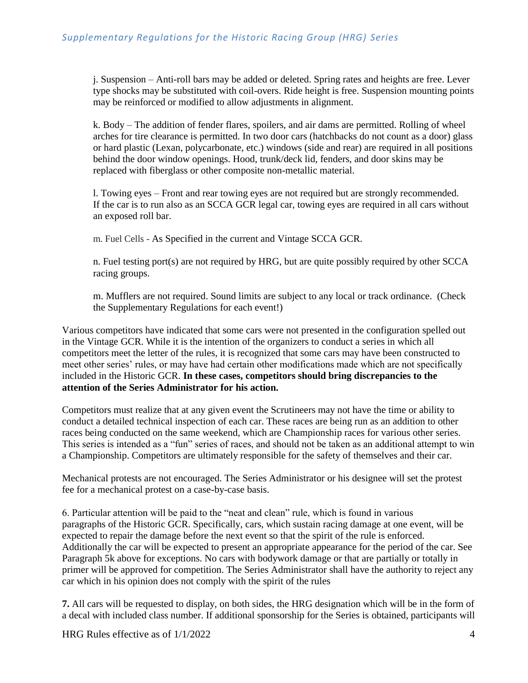j. Suspension – Anti-roll bars may be added or deleted. Spring rates and heights are free. Lever type shocks may be substituted with coil-overs. Ride height is free. Suspension mounting points may be reinforced or modified to allow adjustments in alignment.

k. Body – The addition of fender flares, spoilers, and air dams are permitted. Rolling of wheel arches for tire clearance is permitted. In two door cars (hatchbacks do not count as a door) glass or hard plastic (Lexan, polycarbonate, etc.) windows (side and rear) are required in all positions behind the door window openings. Hood, trunk/deck lid, fenders, and door skins may be replaced with fiberglass or other composite non-metallic material.

l. Towing eyes – Front and rear towing eyes are not required but are strongly recommended. If the car is to run also as an SCCA GCR legal car, towing eyes are required in all cars without an exposed roll bar.

m. Fuel Cells - As Specified in the current and Vintage SCCA GCR.

n. Fuel testing port(s) are not required by HRG, but are quite possibly required by other SCCA racing groups.

m. Mufflers are not required. Sound limits are subject to any local or track ordinance. (Check the Supplementary Regulations for each event!)

Various competitors have indicated that some cars were not presented in the configuration spelled out in the Vintage GCR. While it is the intention of the organizers to conduct a series in which all competitors meet the letter of the rules, it is recognized that some cars may have been constructed to meet other series' rules, or may have had certain other modifications made which are not specifically included in the Historic GCR. **In these cases, competitors should bring discrepancies to the attention of the Series Administrator for his action.** 

Competitors must realize that at any given event the Scrutineers may not have the time or ability to conduct a detailed technical inspection of each car. These races are being run as an addition to other races being conducted on the same weekend, which are Championship races for various other series. This series is intended as a "fun" series of races, and should not be taken as an additional attempt to win a Championship. Competitors are ultimately responsible for the safety of themselves and their car.

Mechanical protests are not encouraged. The Series Administrator or his designee will set the protest fee for a mechanical protest on a case-by-case basis.

6. Particular attention will be paid to the "neat and clean" rule, which is found in various paragraphs of the Historic GCR. Specifically, cars, which sustain racing damage at one event, will be expected to repair the damage before the next event so that the spirit of the rule is enforced. Additionally the car will be expected to present an appropriate appearance for the period of the car. See Paragraph 5k above for exceptions. No cars with bodywork damage or that are partially or totally in primer will be approved for competition. The Series Administrator shall have the authority to reject any car which in his opinion does not comply with the spirit of the rules

**7.** All cars will be requested to display, on both sides, the HRG designation which will be in the form of a decal with included class number. If additional sponsorship for the Series is obtained, participants will

HRG Rules effective as of 1/1/2022 4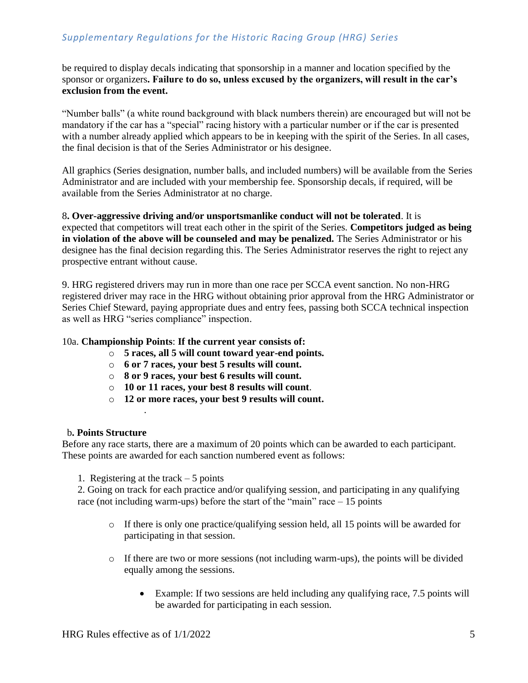# *Supplementary Regulations for the Historic Racing Group (HRG) Series*

be required to display decals indicating that sponsorship in a manner and location specified by the sponsor or organizers**. Failure to do so, unless excused by the organizers, will result in the car's exclusion from the event.** 

"Number balls" (a white round background with black numbers therein) are encouraged but will not be mandatory if the car has a "special" racing history with a particular number or if the car is presented with a number already applied which appears to be in keeping with the spirit of the Series. In all cases, the final decision is that of the Series Administrator or his designee.

All graphics (Series designation, number balls, and included numbers) will be available from the Series Administrator and are included with your membership fee. Sponsorship decals, if required, will be available from the Series Administrator at no charge.

8**. Over-aggressive driving and/or unsportsmanlike conduct will not be tolerated**. It is expected that competitors will treat each other in the spirit of the Series. **Competitors judged as being in violation of the above will be counseled and may be penalized.** The Series Administrator or his designee has the final decision regarding this. The Series Administrator reserves the right to reject any prospective entrant without cause.

9. HRG registered drivers may run in more than one race per SCCA event sanction. No non-HRG registered driver may race in the HRG without obtaining prior approval from the HRG Administrator or Series Chief Steward, paying appropriate dues and entry fees, passing both SCCA technical inspection as well as HRG "series compliance" inspection.

#### 10a. **Championship Points**: **If the current year consists of:**

- o **5 races, all 5 will count toward year-end points.**
- o **6 or 7 races, your best 5 results will count.**
- o **8 or 9 races, your best 6 results will count.**
- o **10 or 11 races, your best 8 results will count**.
- o **12 or more races, your best 9 results will count.**

b**. Points Structure** 

Before any race starts, there are a maximum of 20 points which can be awarded to each participant. These points are awarded for each sanction numbered event as follows:

1. Registering at the track  $-5$  points

.

2. Going on track for each practice and/or qualifying session, and participating in any qualifying race (not including warm-ups) before the start of the "main" race  $-15$  points

- $\circ$  If there is only one practice/qualifying session held, all 15 points will be awarded for participating in that session.
- $\circ$  If there are two or more sessions (not including warm-ups), the points will be divided equally among the sessions.
	- Example: If two sessions are held including any qualifying race, 7.5 points will be awarded for participating in each session.